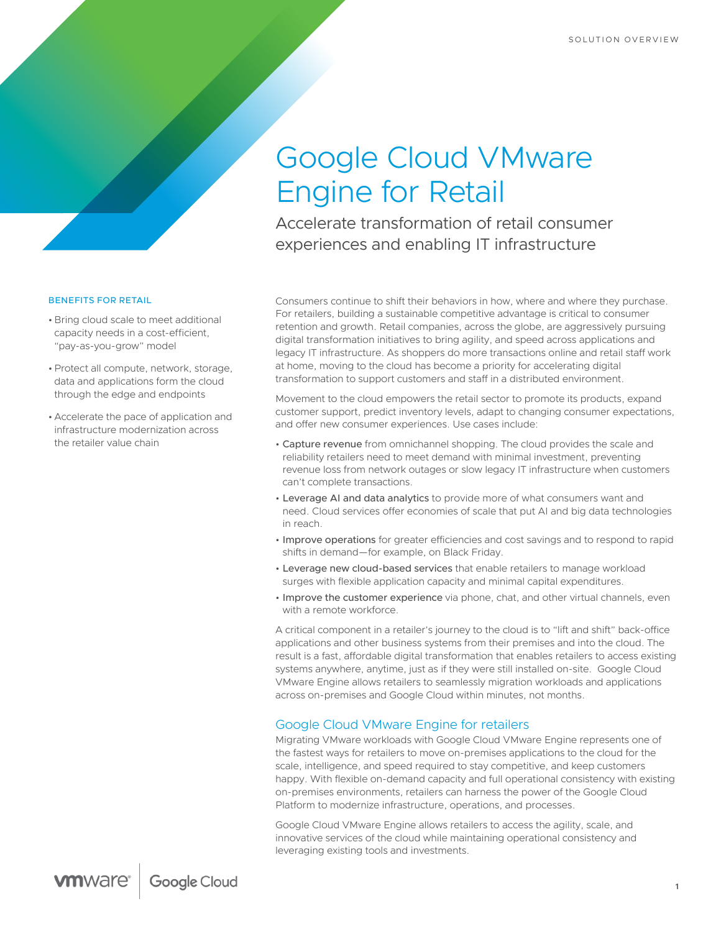# Google Cloud VMware Engine for Retail

Accelerate transformation of retail consumer experiences and enabling IT infrastructure

### BENEFITS FOR RETAIL

- Bring cloud scale to meet additional capacity needs in a cost-efficient, "pay-as-you-grow" model
- •Protect all compute, network, storage, data and applications form the cloud through the edge and endpoints
- Accelerate the pace of application and infrastructure modernization across the retailer value chain

Consumers continue to shift their behaviors in how, where and where they purchase. For retailers, building a sustainable competitive advantage is critical to consumer retention and growth. Retail companies, across the globe, are aggressively pursuing digital transformation initiatives to bring agility, and speed across applications and legacy IT infrastructure. As shoppers do more transactions online and retail staff work at home, moving to the cloud has become a priority for accelerating digital transformation to support customers and staff in a distributed environment.

Movement to the cloud empowers the retail sector to promote its products, expand customer support, predict inventory levels, adapt to changing consumer expectations, and offer new consumer experiences. Use cases include:

- Capture revenue from omnichannel shopping. The cloud provides the scale and reliability retailers need to meet demand with minimal investment, preventing revenue loss from network outages or slow legacy IT infrastructure when customers can't complete transactions.
- Leverage AI and data analytics to provide more of what consumers want and need. Cloud services offer economies of scale that put AI and big data technologies in reach.
- Improve operations for greater efficiencies and cost savings and to respond to rapid shifts in demand—for example, on Black Friday.
- Leverage new cloud-based services that enable retailers to manage workload surges with flexible application capacity and minimal capital expenditures.
- Improve the customer experience via phone, chat, and other virtual channels, even with a remote workforce.

A critical component in a retailer's journey to the cloud is to "lift and shift" back-office applications and other business systems from their premises and into the cloud. The result is a fast, affordable digital transformation that enables retailers to access existing systems anywhere, anytime, just as if they were still installed on-site. Google Cloud VMware Engine allows retailers to seamlessly migration workloads and applications across on-premises and Google Cloud within minutes, not months.

## Google Cloud VMware Engine for retailers

Migrating VMware workloads with Google Cloud VMware Engine represents one of the fastest ways for retailers to move on-premises applications to the cloud for the scale, intelligence, and speed required to stay competitive, and keep customers happy. With flexible on-demand capacity and full operational consistency with existing on-premises environments, retailers can harness the power of the Google Cloud Platform to modernize infrastructure, operations, and processes.

Google Cloud VMware Engine allows retailers to access the agility, scale, and innovative services of the cloud while maintaining operational consistency and leveraging existing tools and investments.